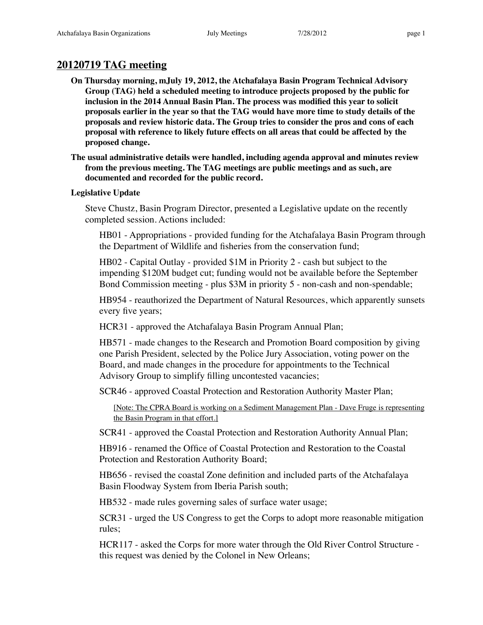# **20120719 TAG meeting**

- **On Thursday morning, mJuly 19, 2012, the Atchafalaya Basin Program Technical Advisory Group (TAG) held a scheduled meeting to introduce projects proposed by the public for inclusion in the 2014 Annual Basin Plan. The process was modified this year to solicit proposals earlier in the year so that the TAG would have more time to study details of the proposals and review historic data. The Group tries to consider the pros and cons of each proposal with reference to likely future effects on all areas that could be affected by the proposed change.**
- **The usual administrative details were handled, including agenda approval and minutes review from the previous meeting. The TAG meetings are public meetings and as such, are documented and recorded for the public record.**

# **Legislative Update**

Steve Chustz, Basin Program Director, presented a Legislative update on the recently completed session. Actions included:

HB01 - Appropriations - provided funding for the Atchafalaya Basin Program through the Department of Wildlife and fisheries from the conservation fund;

HB02 - Capital Outlay - provided \$1M in Priority 2 - cash but subject to the impending \$120M budget cut; funding would not be available before the September Bond Commission meeting - plus \$3M in priority 5 - non-cash and non-spendable;

HB954 - reauthorized the Department of Natural Resources, which apparently sunsets every five years;

HCR31 - approved the Atchafalaya Basin Program Annual Plan;

HB571 - made changes to the Research and Promotion Board composition by giving one Parish President, selected by the Police Jury Association, voting power on the Board, and made changes in the procedure for appointments to the Technical Advisory Group to simplify filling uncontested vacancies;

SCR46 - approved Coastal Protection and Restoration Authority Master Plan;

[Note: The CPRA Board is working on a Sediment Management Plan - Dave Fruge is representing the Basin Program in that effort.]

SCR41 - approved the Coastal Protection and Restoration Authority Annual Plan;

HB916 - renamed the Office of Coastal Protection and Restoration to the Coastal Protection and Restoration Authority Board;

HB656 - revised the coastal Zone definition and included parts of the Atchafalaya Basin Floodway System from Iberia Parish south;

HB532 - made rules governing sales of surface water usage;

SCR31 - urged the US Congress to get the Corps to adopt more reasonable mitigation rules;

HCR117 - asked the Corps for more water through the Old River Control Structure this request was denied by the Colonel in New Orleans;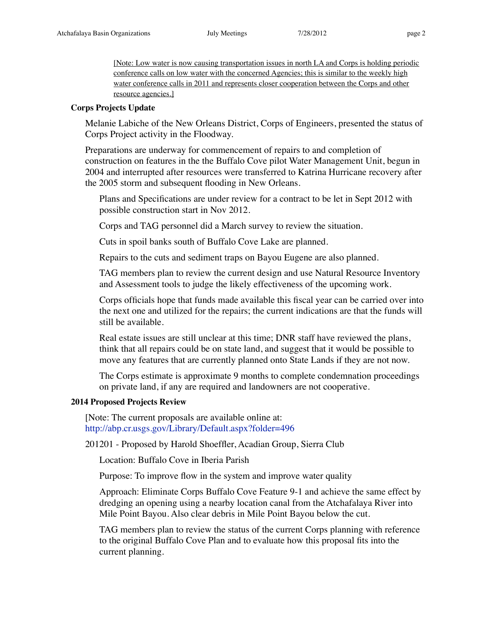[Note: Low water is now causing transportation issues in north LA and Corps is holding periodic conference calls on low water with the concerned Agencies; this is similar to the weekly high water conference calls in 2011 and represents closer cooperation between the Corps and other resource agencies.]

## **Corps Projects Update**

Melanie Labiche of the New Orleans District, Corps of Engineers, presented the status of Corps Project activity in the Floodway.

Preparations are underway for commencement of repairs to and completion of construction on features in the the Buffalo Cove pilot Water Management Unit, begun in 2004 and interrupted after resources were transferred to Katrina Hurricane recovery after the 2005 storm and subsequent flooding in New Orleans.

Plans and Specifications are under review for a contract to be let in Sept 2012 with possible construction start in Nov 2012.

Corps and TAG personnel did a March survey to review the situation.

Cuts in spoil banks south of Buffalo Cove Lake are planned.

Repairs to the cuts and sediment traps on Bayou Eugene are also planned.

TAG members plan to review the current design and use Natural Resource Inventory and Assessment tools to judge the likely effectiveness of the upcoming work.

Corps officials hope that funds made available this fiscal year can be carried over into the next one and utilized for the repairs; the current indications are that the funds will still be available.

Real estate issues are still unclear at this time; DNR staff have reviewed the plans, think that all repairs could be on state land, and suggest that it would be possible to move any features that are currently planned onto State Lands if they are not now.

The Corps estimate is approximate 9 months to complete condemnation proceedings on private land, if any are required and landowners are not cooperative.

# **2014 Proposed Projects Review**

[Note: The current proposals are available online at: <http://abp.cr.usgs.gov/Library/Default.aspx?folder=496>

201201 - Proposed by Harold Shoeffler, Acadian Group, Sierra Club

Location: Buffalo Cove in Iberia Parish

Purpose: To improve flow in the system and improve water quality

Approach: Eliminate Corps Buffalo Cove Feature 9-1 and achieve the same effect by dredging an opening using a nearby location canal from the Atchafalaya River into Mile Point Bayou. Also clear debris in Mile Point Bayou below the cut.

TAG members plan to review the status of the current Corps planning with reference to the original Buffalo Cove Plan and to evaluate how this proposal fits into the current planning.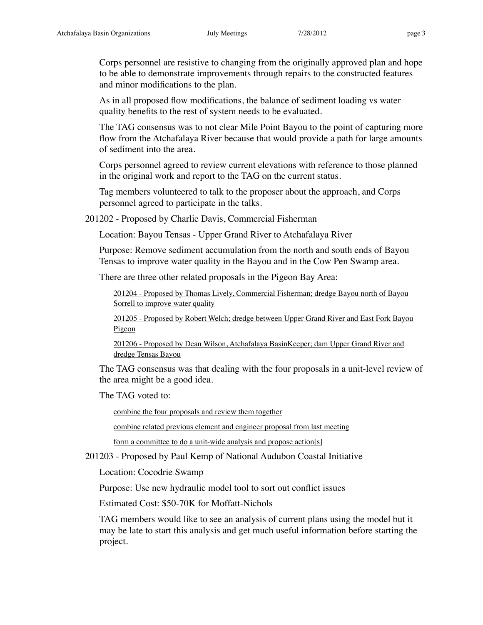Corps personnel are resistive to changing from the originally approved plan and hope to be able to demonstrate improvements through repairs to the constructed features and minor modifications to the plan.

As in all proposed flow modifications, the balance of sediment loading vs water quality benefits to the rest of system needs to be evaluated.

The TAG consensus was to not clear Mile Point Bayou to the point of capturing more flow from the Atchafalaya River because that would provide a path for large amounts of sediment into the area.

Corps personnel agreed to review current elevations with reference to those planned in the original work and report to the TAG on the current status.

Tag members volunteered to talk to the proposer about the approach, and Corps personnel agreed to participate in the talks.

201202 - Proposed by Charlie Davis, Commercial Fisherman

Location: Bayou Tensas - Upper Grand River to Atchafalaya River

Purpose: Remove sediment accumulation from the north and south ends of Bayou Tensas to improve water quality in the Bayou and in the Cow Pen Swamp area.

There are three other related proposals in the Pigeon Bay Area:

201204 - Proposed by Thomas Lively, Commercial Fisherman; dredge Bayou north of Bayou Sorrell to improve water quality

201205 - Proposed by Robert Welch; dredge between Upper Grand River and East Fork Bayou Pigeon

201206 - Proposed by Dean Wilson, Atchafalaya BasinKeeper; dam Upper Grand River and dredge Tensas Bayou

The TAG consensus was that dealing with the four proposals in a unit-level review of the area might be a good idea.

The TAG voted to:

combine the four proposals and review them together

combine related previous element and engineer proposal from last meeting

form a committee to do a unit-wide analysis and propose action[s]

201203 - Proposed by Paul Kemp of National Audubon Coastal Initiative

Location: Cocodrie Swamp

Purpose: Use new hydraulic model tool to sort out conflict issues

Estimated Cost: \$50-70K for Moffatt-Nichols

TAG members would like to see an analysis of current plans using the model but it may be late to start this analysis and get much useful information before starting the project.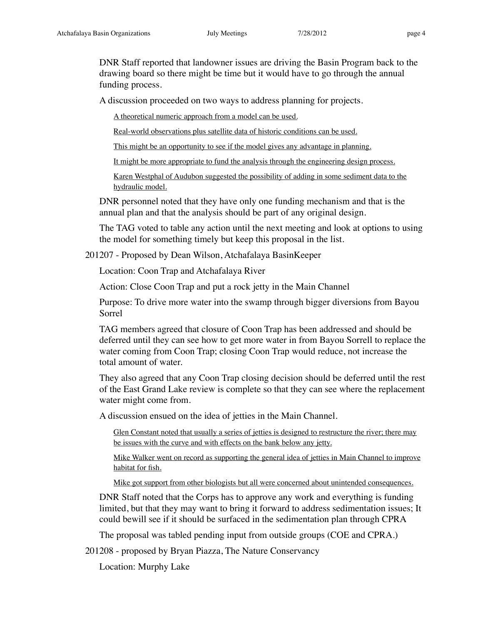DNR Staff reported that landowner issues are driving the Basin Program back to the drawing board so there might be time but it would have to go through the annual funding process.

A discussion proceeded on two ways to address planning for projects.

A theoretical numeric approach from a model can be used.

Real-world observations plus satellite data of historic conditions can be used.

This might be an opportunity to see if the model gives any advantage in planning.

It might be more appropriate to fund the analysis through the engineering design process.

Karen Westphal of Audubon suggested the possibility of adding in some sediment data to the hydraulic model.

DNR personnel noted that they have only one funding mechanism and that is the annual plan and that the analysis should be part of any original design.

The TAG voted to table any action until the next meeting and look at options to using the model for something timely but keep this proposal in the list.

201207 - Proposed by Dean Wilson, Atchafalaya BasinKeeper

Location: Coon Trap and Atchafalaya River

Action: Close Coon Trap and put a rock jetty in the Main Channel

Purpose: To drive more water into the swamp through bigger diversions from Bayou Sorrel

TAG members agreed that closure of Coon Trap has been addressed and should be deferred until they can see how to get more water in from Bayou Sorrell to replace the water coming from Coon Trap; closing Coon Trap would reduce, not increase the total amount of water.

They also agreed that any Coon Trap closing decision should be deferred until the rest of the East Grand Lake review is complete so that they can see where the replacement water might come from.

A discussion ensued on the idea of jetties in the Main Channel.

Glen Constant noted that usually a series of jetties is designed to restructure the river; there may be issues with the curve and with effects on the bank below any jetty.

Mike Walker went on record as supporting the general idea of jetties in Main Channel to improve habitat for fish.

Mike got support from other biologists but all were concerned about unintended consequences.

DNR Staff noted that the Corps has to approve any work and everything is funding limited, but that they may want to bring it forward to address sedimentation issues; It could bewill see if it should be surfaced in the sedimentation plan through CPRA

The proposal was tabled pending input from outside groups (COE and CPRA.)

201208 - proposed by Bryan Piazza, The Nature Conservancy

Location: Murphy Lake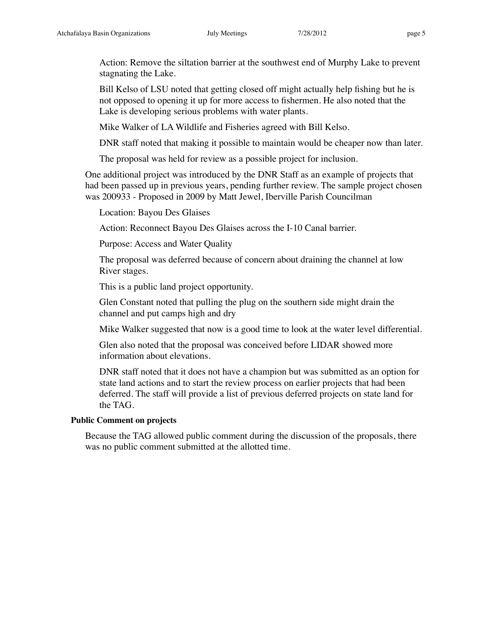Action: Remove the siltation barrier at the southwest end of Murphy Lake to prevent stagnating the Lake.

Bill Kelso of LSU noted that getting closed off might actually help fishing but he is not opposed to opening it up for more access to fishermen. He also noted that the Lake is developing serious problems with water plants.

Mike Walker of LA Wildlife and Fisheries agreed with Bill Kelso.

DNR staff noted that making it possible to maintain would be cheaper now than later.

The proposal was held for review as a possible project for inclusion.

One additional project was introduced by the DNR Staff as an example of projects that had been passed up in previous years, pending further review. The sample project chosen was 200933 - Proposed in 2009 by Matt Jewel, Iberville Parish Councilman

Location: Bayou Des Glaises

Action: Reconnect Bayou Des Glaises across the I-10 Canal barrier.

Purpose: Access and Water Quality

The proposal was deferred because of concern about draining the channel at low River stages.

This is a public land project opportunity.

Glen Constant noted that pulling the plug on the southern side might drain the channel and put camps high and dry

Mike Walker suggested that now is a good time to look at the water level differential.

Glen also noted that the proposal was conceived before LIDAR showed more information about elevations.

DNR staff noted that it does not have a champion but was submitted as an option for state land actions and to start the review process on earlier projects that had been deferred. The staff will provide a list of previous deferred projects on state land for the TAG.

# **Public Comment on projects**

Because the TAG allowed public comment during the discussion of the proposals, there was no public comment submitted at the allotted time.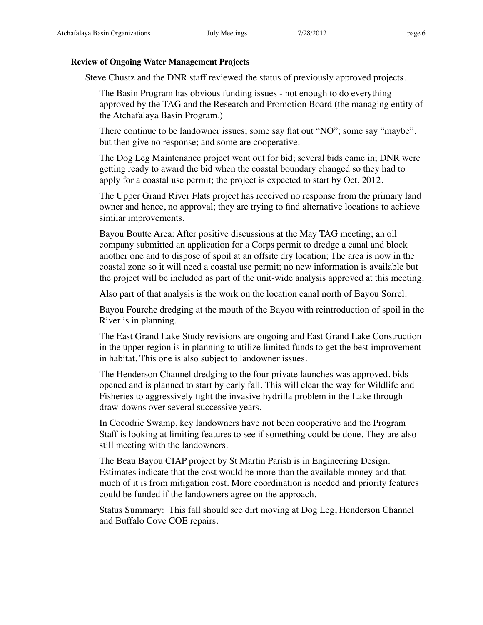## **Review of Ongoing Water Management Projects**

Steve Chustz and the DNR staff reviewed the status of previously approved projects.

The Basin Program has obvious funding issues - not enough to do everything approved by the TAG and the Research and Promotion Board (the managing entity of the Atchafalaya Basin Program.)

There continue to be landowner issues; some say flat out "NO"; some say "maybe", but then give no response; and some are cooperative.

The Dog Leg Maintenance project went out for bid; several bids came in; DNR were getting ready to award the bid when the coastal boundary changed so they had to apply for a coastal use permit; the project is expected to start by Oct, 2012.

The Upper Grand River Flats project has received no response from the primary land owner and hence, no approval; they are trying to find alternative locations to achieve similar improvements.

Bayou Boutte Area: After positive discussions at the May TAG meeting; an oil company submitted an application for a Corps permit to dredge a canal and block another one and to dispose of spoil at an offsite dry location; The area is now in the coastal zone so it will need a coastal use permit; no new information is available but the project will be included as part of the unit-wide analysis approved at this meeting.

Also part of that analysis is the work on the location canal north of Bayou Sorrel.

Bayou Fourche dredging at the mouth of the Bayou with reintroduction of spoil in the River is in planning.

The East Grand Lake Study revisions are ongoing and East Grand Lake Construction in the upper region is in planning to utilize limited funds to get the best improvement in habitat. This one is also subject to landowner issues.

The Henderson Channel dredging to the four private launches was approved, bids opened and is planned to start by early fall. This will clear the way for Wildlife and Fisheries to aggressively fight the invasive hydrilla problem in the Lake through draw-downs over several successive years.

In Cocodrie Swamp, key landowners have not been cooperative and the Program Staff is looking at limiting features to see if something could be done. They are also still meeting with the landowners.

The Beau Bayou CIAP project by St Martin Parish is in Engineering Design. Estimates indicate that the cost would be more than the available money and that much of it is from mitigation cost. More coordination is needed and priority features could be funded if the landowners agree on the approach.

Status Summary: This fall should see dirt moving at Dog Leg, Henderson Channel and Buffalo Cove COE repairs.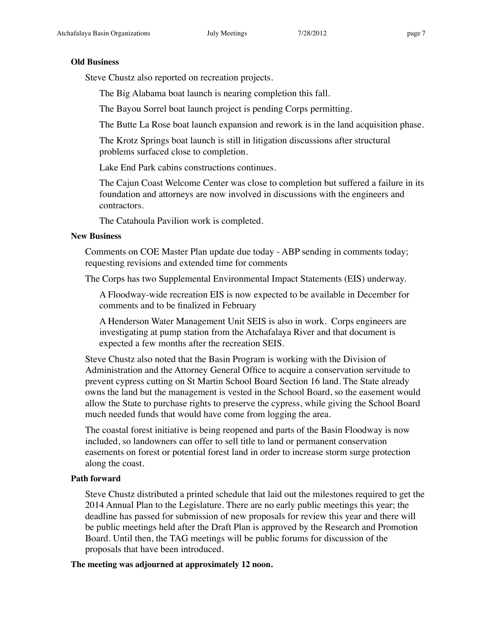## **Old Business**

Steve Chustz also reported on recreation projects.

The Big Alabama boat launch is nearing completion this fall.

The Bayou Sorrel boat launch project is pending Corps permitting.

The Butte La Rose boat launch expansion and rework is in the land acquisition phase.

The Krotz Springs boat launch is still in litigation discussions after structural problems surfaced close to completion.

Lake End Park cabins constructions continues.

The Cajun Coast Welcome Center was close to completion but suffered a failure in its foundation and attorneys are now involved in discussions with the engineers and contractors.

The Catahoula Pavilion work is completed.

# **New Business**

Comments on COE Master Plan update due today - ABP sending in comments today; requesting revisions and extended time for comments

The Corps has two Supplemental Environmental Impact Statements (EIS) underway.

A Floodway-wide recreation EIS is now expected to be available in December for comments and to be finalized in February

A Henderson Water Management Unit SEIS is also in work. Corps engineers are investigating at pump station from the Atchafalaya River and that document is expected a few months after the recreation SEIS.

Steve Chustz also noted that the Basin Program is working with the Division of Administration and the Attorney General Office to acquire a conservation servitude to prevent cypress cutting on St Martin School Board Section 16 land. The State already owns the land but the management is vested in the School Board, so the easement would allow the State to purchase rights to preserve the cypress, while giving the School Board much needed funds that would have come from logging the area.

The coastal forest initiative is being reopened and parts of the Basin Floodway is now included, so landowners can offer to sell title to land or permanent conservation easements on forest or potential forest land in order to increase storm surge protection along the coast.

# **Path forward**

Steve Chustz distributed a printed schedule that laid out the milestones required to get the 2014 Annual Plan to the Legislature. There are no early public meetings this year; the deadline has passed for submission of new proposals for review this year and there will be public meetings held after the Draft Plan is approved by the Research and Promotion Board. Until then, the TAG meetings will be public forums for discussion of the proposals that have been introduced.

**The meeting was adjourned at approximately 12 noon.**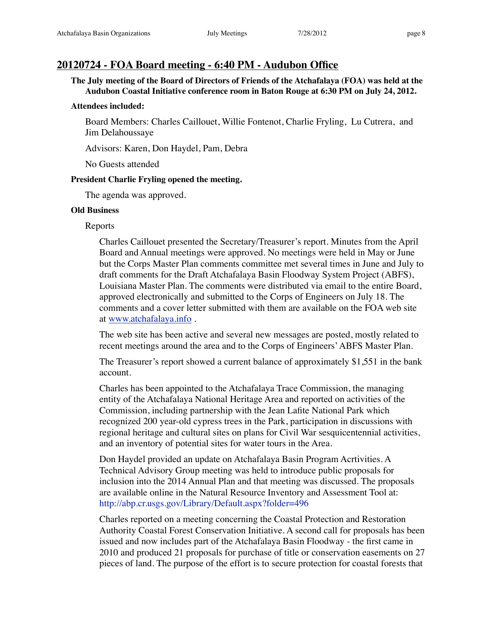# **20120724 - FOA Board meeting - 6:40 PM - Audubon Office**

**The July meeting of the Board of Directors of Friends of the Atchafalaya (FOA) was held at the Audubon Coastal Initiative conference room in Baton Rouge at 6:30 PM on July 24, 2012.**

### **Attendees included:**

Board Members: Charles Caillouet, Willie Fontenot, Charlie Fryling, Lu Cutrera, and Jim Delahoussaye

Advisors: Karen, Don Haydel, Pam, Debra

No Guests attended

### **President Charlie Fryling opened the meeting.**

The agenda was approved.

### **Old Business**

### Reports

Charles Caillouet presented the Secretary/Treasurer's report. Minutes from the April Board and Annual meetings were approved. No meetings were held in May or June but the Corps Master Plan comments committee met several times in June and July to draft comments for the Draft Atchafalaya Basin Floodway System Project (ABFS), Louisiana Master Plan. The comments were distributed via email to the entire Board, approved electronically and submitted to the Corps of Engineers on July 18. The comments and a cover letter submitted with them are available on the FOA web site at [www.atchafalaya.info](http://www.atchafalaya.info) .

The web site has been active and several new messages are posted, mostly related to recent meetings around the area and to the Corps of Engineers' ABFS Master Plan.

The Treasurer's report showed a current balance of approximately \$1,551 in the bank account.

Charles has been appointed to the Atchafalaya Trace Commission, the managing entity of the Atchafalaya National Heritage Area and reported on activities of the Commission, including partnership with the Jean Lafite National Park which recognized 200 year-old cypress trees in the Park, participation in discussions with regional heritage and cultural sites on plans for Civil War sesquicentennial activities, and an inventory of potential sites for water tours in the Area.

Don Haydel provided an update on Atchafalaya Basin Program Acrtivities. A Technical Advisory Group meeting was held to introduce public proposals for inclusion into the 2014 Annual Plan and that meeting was discussed. The proposals are available online in the Natural Resource Inventory and Assessment Tool at: <http://abp.cr.usgs.gov/Library/Default.aspx?folder=496>

Charles reported on a meeting concerning the Coastal Protection and Restoration Authority Coastal Forest Conservation Initiative. A second call for proposals has been issued and now includes part of the Atchafalaya Basin Floodway - the first came in 2010 and produced 21 proposals for purchase of title or conservation easements on 27 pieces of land. The purpose of the effort is to secure protection for coastal forests that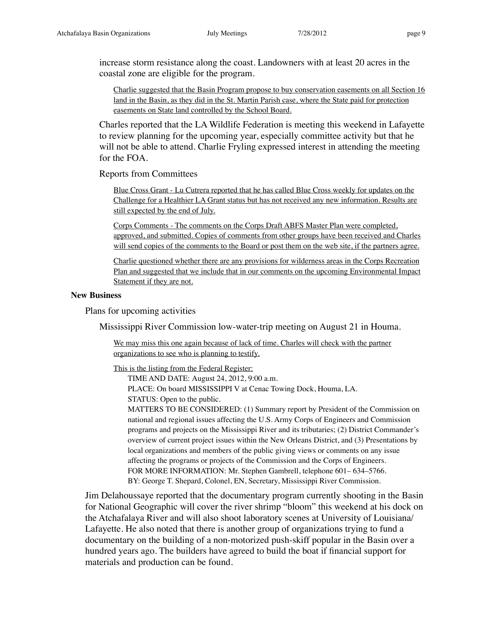increase storm resistance along the coast. Landowners with at least 20 acres in the coastal zone are eligible for the program.

Charlie suggested that the Basin Program propose to buy conservation easements on all Section 16 land in the Basin, as they did in the St. Martin Parish case, where the State paid for protection easements on State land controlled by the School Board.

Charles reported that the LA Wildlife Federation is meeting this weekend in Lafayette to review planning for the upcoming year, especially committee activity but that he will not be able to attend. Charlie Fryling expressed interest in attending the meeting for the FOA.

Reports from Committees

Blue Cross Grant - Lu Cutrera reported that he has called Blue Cross weekly for updates on the Challenge for a Healthier LA Grant status but has not received any new information. Results are still expected by the end of July.

Corps Comments - The comments on the Corps Draft ABFS Master Plan were completed, approved, and submitted. Copies of comments from other groups have been received and Charles will send copies of the comments to the Board or post them on the web site, if the partners agree.

Charlie questioned whether there are any provisions for wilderness areas in the Corps Recreation Plan and suggested that we include that in our comments on the upcoming Environmental Impact Statement if they are not.

#### **New Business**

Plans for upcoming activities

Mississippi River Commission low-water-trip meeting on August 21 in Houma.

We may miss this one again because of lack of time. Charles will check with the partner organizations to see who is planning to testify.

This is the listing from the Federal Register:

TIME AND DATE: August 24, 2012, 9:00 a.m.

PLACE: On board MISSISSIPPI V at Cenac Towing Dock, Houma, LA.

STATUS: Open to the public.

MATTERS TO BE CONSIDERED: (1) Summary report by President of the Commission on national and regional issues affecting the U.S. Army Corps of Engineers and Commission programs and projects on the Mississippi River and its tributaries; (2) District Commander's overview of current project issues within the New Orleans District, and (3) Presentations by local organizations and members of the public giving views or comments on any issue affecting the programs or projects of the Commission and the Corps of Engineers. FOR MORE INFORMATION: Mr. Stephen Gambrell, telephone 601– 634–5766. BY: George T. Shepard, Colonel, EN, Secretary, Mississippi River Commission.

Jim Delahoussaye reported that the documentary program currently shooting in the Basin for National Geographic will cover the river shrimp "bloom" this weekend at his dock on the Atchafalaya River and will also shoot laboratory scenes at University of Louisiana/ Lafayette. He also noted that there is another group of organizations trying to fund a documentary on the building of a non-motorized push-skiff popular in the Basin over a hundred years ago. The builders have agreed to build the boat if financial support for materials and production can be found.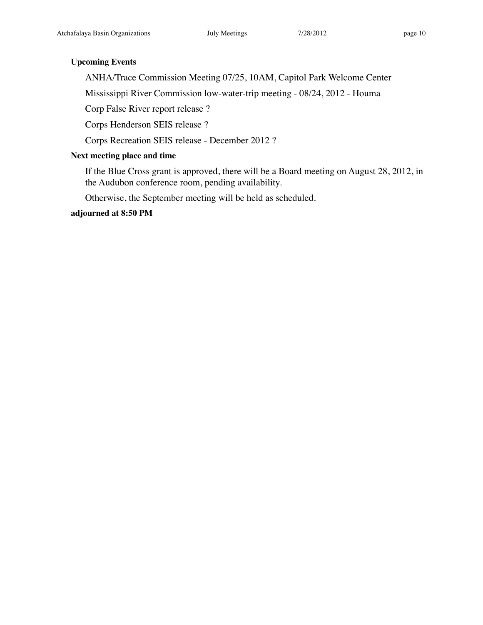# **Upcoming Events**

ANHA/Trace Commission Meeting 07/25, 10AM, Capitol Park Welcome Center

Mississippi River Commission low-water-trip meeting - 08/24, 2012 - Houma

Corp False River report release ?

Corps Henderson SEIS release ?

Corps Recreation SEIS release - December 2012 ?

# **Next meeting place and time**

If the Blue Cross grant is approved, there will be a Board meeting on August 28, 2012, in the Audubon conference room, pending availability.

Otherwise, the September meeting will be held as scheduled.

**adjourned at 8:50 PM**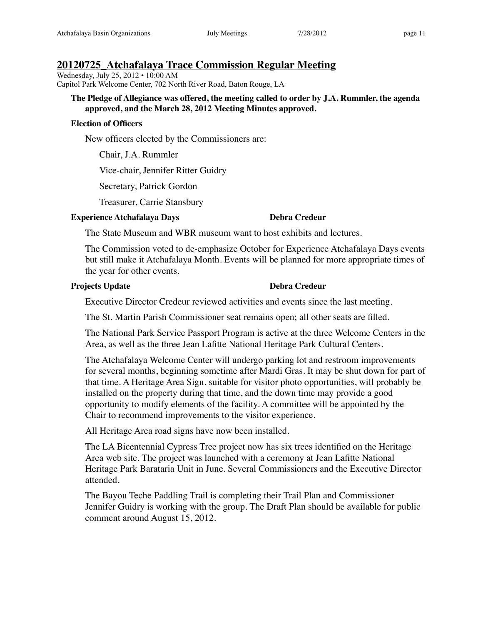Wednesday, July 25, 2012 • 10:00 AM Capitol Park Welcome Center, 702 North River Road, Baton Rouge, LA

## **The Pledge of Allegiance was offered, the meeting called to order by J.A. Rummler, the agenda approved, and the March 28, 2012 Meeting Minutes approved.**

## **Election of Officers**

New officers elected by the Commissioners are:

Chair, J.A. Rummler

Vice-chair, Jennifer Ritter Guidry

Secretary, Patrick Gordon

Treasurer, Carrie Stansbury

# **Experience Atchafalaya Days Debra Credeur**

The State Museum and WBR museum want to host exhibits and lectures.

The Commission voted to de-emphasize October for Experience Atchafalaya Days events but still make it Atchafalaya Month. Events will be planned for more appropriate times of the year for other events.

# **Projects Update Debra Credeur**

Executive Director Credeur reviewed activities and events since the last meeting.

The St. Martin Parish Commissioner seat remains open; all other seats are filled.

The National Park Service Passport Program is active at the three Welcome Centers in the Area, as well as the three Jean Lafitte National Heritage Park Cultural Centers.

The Atchafalaya Welcome Center will undergo parking lot and restroom improvements for several months, beginning sometime after Mardi Gras. It may be shut down for part of that time. A Heritage Area Sign, suitable for visitor photo opportunities, will probably be installed on the property during that time, and the down time may provide a good opportunity to modify elements of the facility. A committee will be appointed by the Chair to recommend improvements to the visitor experience.

All Heritage Area road signs have now been installed.

The LA Bicentennial Cypress Tree project now has six trees identified on the Heritage Area web site. The project was launched with a ceremony at Jean Lafitte National Heritage Park Barataria Unit in June. Several Commissioners and the Executive Director attended.

The Bayou Teche Paddling Trail is completing their Trail Plan and Commissioner Jennifer Guidry is working with the group. The Draft Plan should be available for public comment around August 15, 2012.